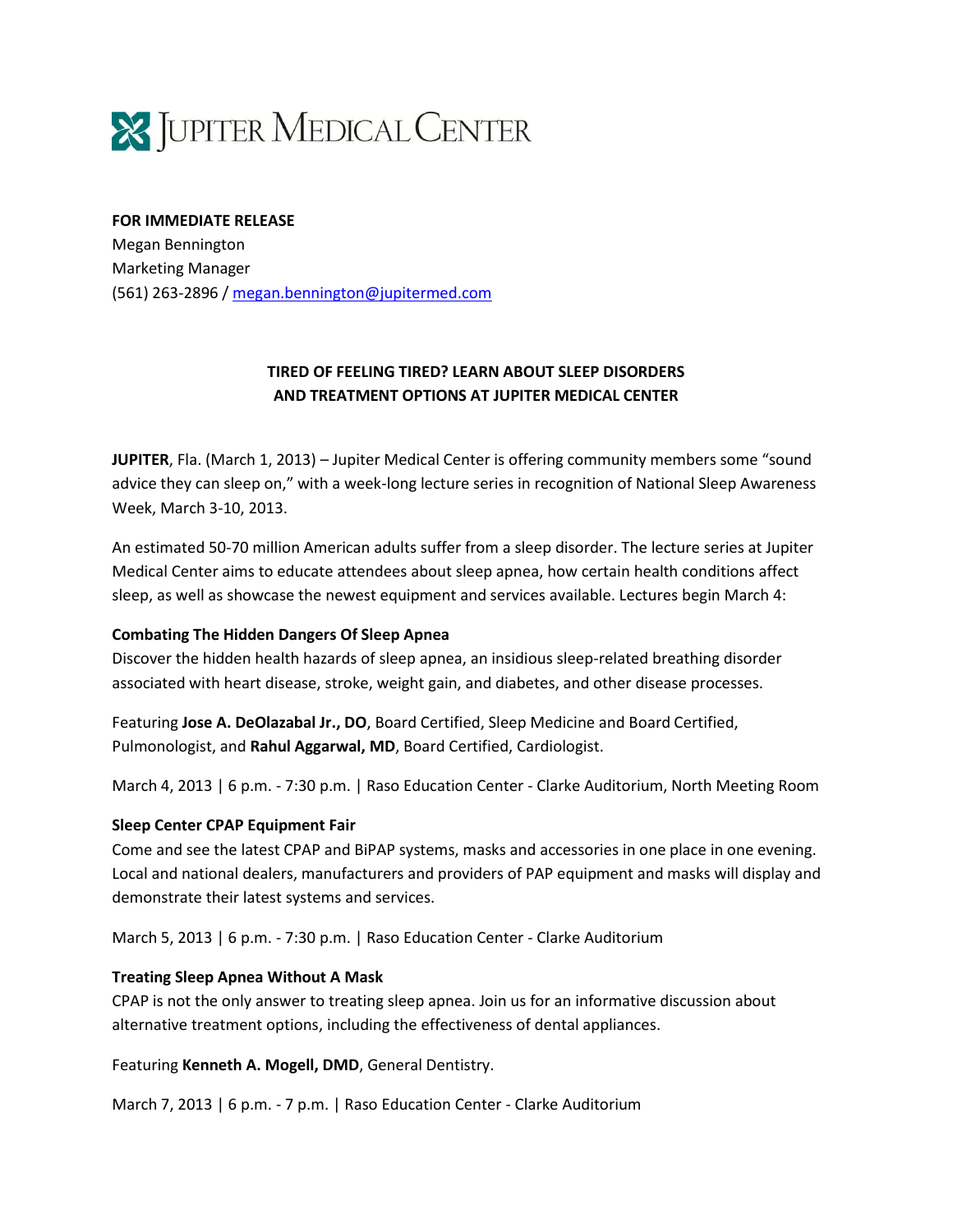

#### **FOR IMMEDIATE RELEASE**

Megan Bennington Marketing Manager (561) 263-2896 [/ megan.bennington@jupitermed.com](mailto:megan.bennington@jupitermed.com)

# **TIRED OF FEELING TIRED? LEARN ABOUT SLEEP DISORDERS AND TREATMENT OPTIONS AT JUPITER MEDICAL CENTER**

**JUPITER**, Fla. (March 1, 2013) – Jupiter Medical Center is offering community members some "sound advice they can sleep on," with a week-long lecture series in recognition of National Sleep Awareness Week, March 3-10, 2013.

An estimated 50-70 million American adults suffer from a sleep disorder. The lecture series at Jupiter Medical Center aims to educate attendees about sleep apnea, how certain health conditions affect sleep, as well as showcase the newest equipment and services available. Lectures begin March 4:

### **Combating The Hidden Dangers Of Sleep Apnea**

Discover the hidden health hazards of sleep apnea, an insidious sleep-related breathing disorder associated with heart disease, stroke, weight gain, and diabetes, and other disease processes.

Featuring **Jose A. DeOlazabal Jr., DO**, Board Certified, Sleep Medicine and Board Certified, Pulmonologist, and **Rahul Aggarwal, MD**, Board Certified, Cardiologist.

March 4, 2013 | 6 p.m. - 7:30 p.m. | Raso Education Center - Clarke Auditorium, North Meeting Room

#### **Sleep Center CPAP Equipment Fair**

Come and see the latest CPAP and BiPAP systems, masks and accessories in one place in one evening. Local and national dealers, manufacturers and providers of PAP equipment and masks will display and demonstrate their latest systems and services.

March 5, 2013 | 6 p.m. - 7:30 p.m. | Raso Education Center - Clarke Auditorium

#### **Treating Sleep Apnea Without A Mask**

CPAP is not the only answer to treating sleep apnea. Join us for an informative discussion about alternative treatment options, including the effectiveness of dental appliances.

Featuring **Kenneth A. Mogell, DMD**, General Dentistry.

March 7, 2013 | 6 p.m. - 7 p.m. | Raso Education Center - Clarke Auditorium